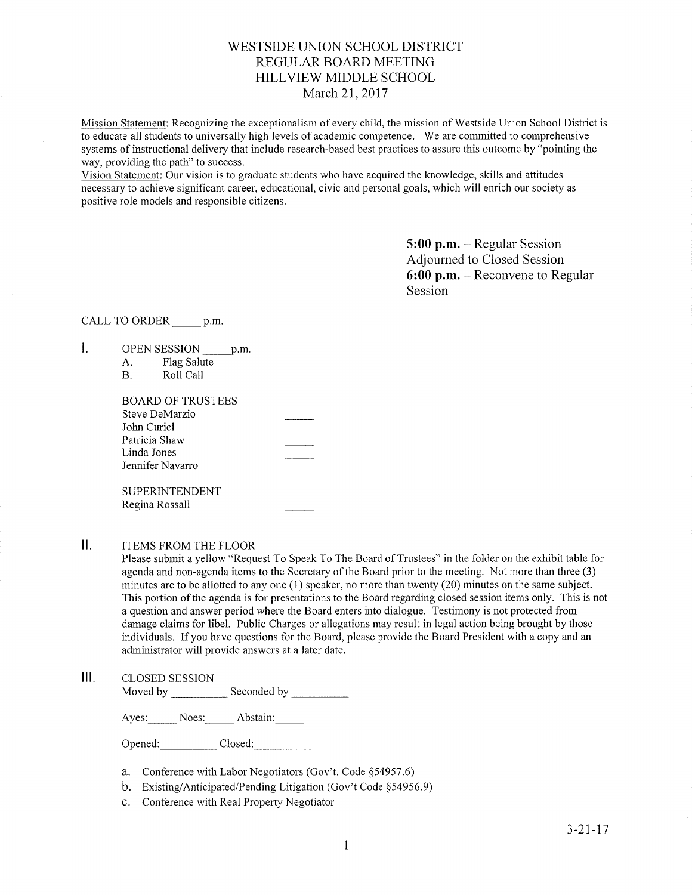# WESTSIDE LINION SCHOOL DISTRICT REGULAR BOARD MEETING HILLVIEW MIDDLE SCHOOL March 2I,20I7

Mission Statement: Recognizing the exceptionalisrn of every child, the mission of Westside Union School District is to educate all students to universally high levels of academic cornpetence. We are committed to comprehensive systems of instructional delivery that include research-based best practices to assure this outcome by "pointing the way, providing the path" to success.

Vision Statement: Our vision is to graduate students who have acquired the knowledge, skills and attitudes necessary to achieve significant career, educational, civic and personal goals, which will enrich our society as positive role models and responsible citizens.

> 5:00 p.m. - Regular Session Adjourned to Closed Session  $6:00$  p.m. – Reconvene to Regular Session

# CALL TO ORDER p.m.

- $\mathbf{I}$ . OPEN SESSION p.m.
	- A. Flag Salute<br>B. Roll Call
	-

| BOARD OF TRUSTEES |  |
|-------------------|--|
| Steve DeMarzio    |  |
| John Curiel       |  |
| Patricia Shaw     |  |
| Linda Jones       |  |
| Jennifer Navarro  |  |
|                   |  |
| SUPERINTENDENT    |  |
| Regina Rossall    |  |
|                   |  |

#### Ⅱ. ITEMS FROM THE FLOOR

Please submit a yellow "Request To Speak To The Board of Trustees" in the folder on the exhibit table for agenda and non-agenda items to the Secretary of the Board prior to the meeting. Not more than three (3) minutes are to be allotted to any one (1) speaker, no more than twenty (20) minutes on the same subject. This portion of the agenda is for presentations to the Board regarding closed session items only. This is not a question and answer period where the Board enters into dialogue. Testimony is not protected from damage claims for libel. Public Charges or allegations may result in legal action being brought by those individuals. If you have questions for the Board, please provide the Board President with a copy and an administrator will provide answers at a later date.

#### $III.$ CLOSED SESSION

Moved by \_\_\_\_\_\_\_\_\_\_\_\_\_ Seconded by

Ayes: Noes: Abstain:

Opened: Closed:

- a. Conference with Labor Negotiators (Gov't. Code \$54957.6)
- b. Existing/Anticipated/Pending Litigation (Gov't Code \$54956.9)
- c. Conference with Real Property Negotiator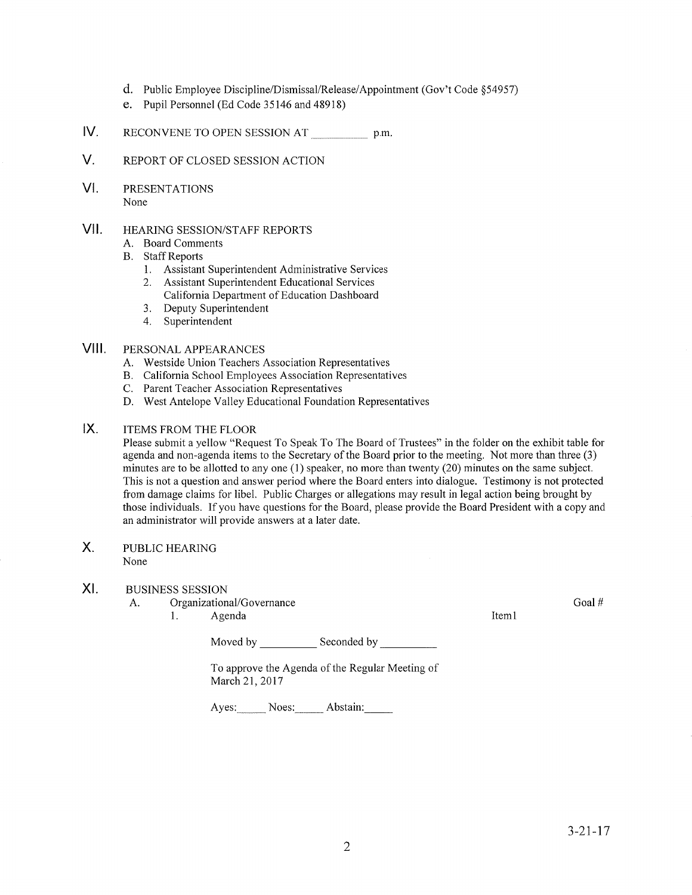- d. Public Employee Discipline/Dismissal/Release/Appointment (Gov't Code \$54957)
- e. Pupil Personnel (Ed Code 35146 and 48918)
- tv. RECONVENE TO OPEN SESSION AT p.m.
- V. REPORT OF CLOSED SESSION ACTION
- $VI.$ PRESENTATIONS None

#### vil HEARING SESSION/STAFF REPORTS

- A. Board Comments
- **B.** Staff Reports
	- 1. Assistant Superintendent Administrative Services
	- 2. Assistant Superintendent Educational Services
	- California Department of Education Dashboard
	- 3. Deputy Superintendent 4. Superintendent
	-

### PERSONAL APPEARANCES VIII.

- 
- A. Westside Union Teachers Association Representatives B. California School Employees Association Representatives C. Parent Teacher Association Representatives
- 
- D. West Antelope Valley Educational Foundation Representatives

### ITEMS FROM THE FLOOR tx.

Please submit a yellow "Request To Speak To The Board of Trustees" in the folder on the exhibit table for agenda and non-agenda items to the Secretary of the Board prior to the meeting. Not more than three (3) minutes are to be allotted to any one (1) speaker, no more than twenfy (20) minutes on the same subject. This is not a question and answer period where the Board enters into dialogue. Testimony is not protected from damage claims for libel. Public Charges or allegations may result in legal action being brought by those individuals. If you have questions for the Board, please provide the Board President with a copy and an administrator will provide answers at a later date.

### PUBLIC HEARING None X

#### XI BUSINESS SESSION

A. Organizational/Governance

1. Agenda Iteml

Moved by Seconded by Seconded by

To approve the Agenda of the Regular Meeting of March 21,2017

Ayes: Noes: Abstain:

Goal #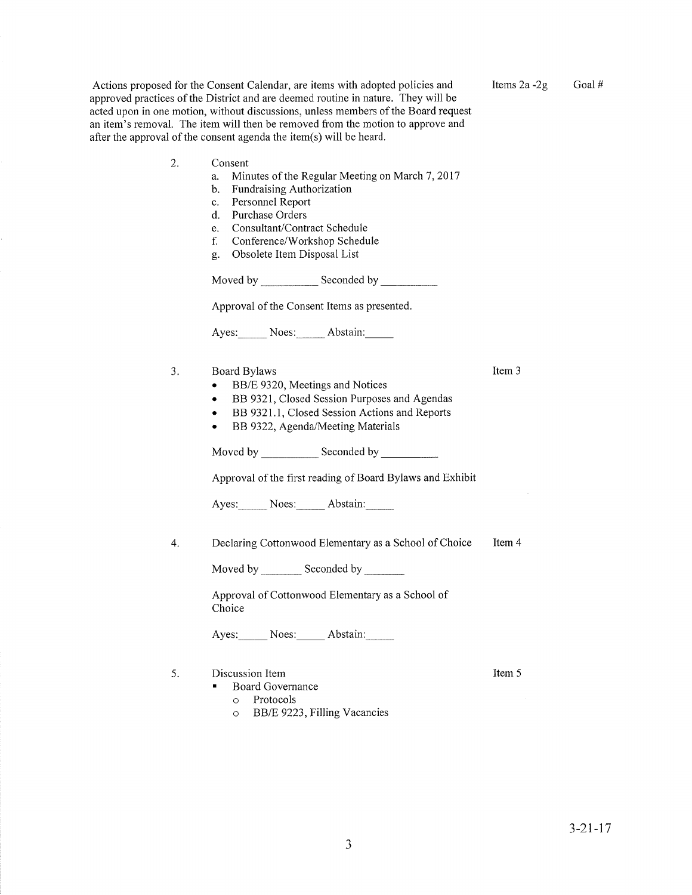Actions proposed for the Consent Calendar, are items with adopted policies and approved practices of the District and are deemed routine in nature. They will be acted upon in one motion, without discussions, unless members of the Board request an item's removal. The item will then be removed from the motion to approve and after the approval of the consenf agenda the item(s) will be heard. 2

- Consent
	- a. Minutes of the Regular Meeting on March 7,2011
	- b. Fundraising Authorization
	- c. Personnel Report<br>d. Purchase Orders
	-
	- e. Consultant/Contract Schedule
	- f. Conference/Workshop Schedule
	- g. Obsolete Item Disposal List

Moved by Seconded by Seconded by Seconded by Seconded by Seconded by Seconded by Seconded by Seconded by Seconded by Seconded by Seconded by Seconded by Seconded by Seconded by Seconded by Seconded by Seconded by Seconded

Approval of the Consent Items as presented.

Ayes: Noes: Abstain:

- 3. Board Bylaws
	- . BB/E 9320, Meetings and Notices
	- BB 9321, Closed Session Purposes and Agendas
	- BB 9321.1, Closed Session Actions and Reports
	- . BB 9322, Agenda/Meeting Materials

Moved by \_\_\_\_\_\_\_\_\_\_\_\_\_ Seconded by \_

Approval of the first reading of Board Bylaws and Exhibit

Ayes: Noes: Abstain:

4. Declaring Cottonwood Elementary as a School of Choice Item 4

Moved by \_\_\_\_\_\_\_\_ Seconded by \_

Approval of Cottonwood Elementary as a School of Choice

Ayes: Noes: Abstain:

- 5. Discussion Item
	- **Board Governance** 
		- o Protocols
		- o BB/E 9223,FillingVacancies

aJ

Item 3

Items  $2a - 2g$  Goal #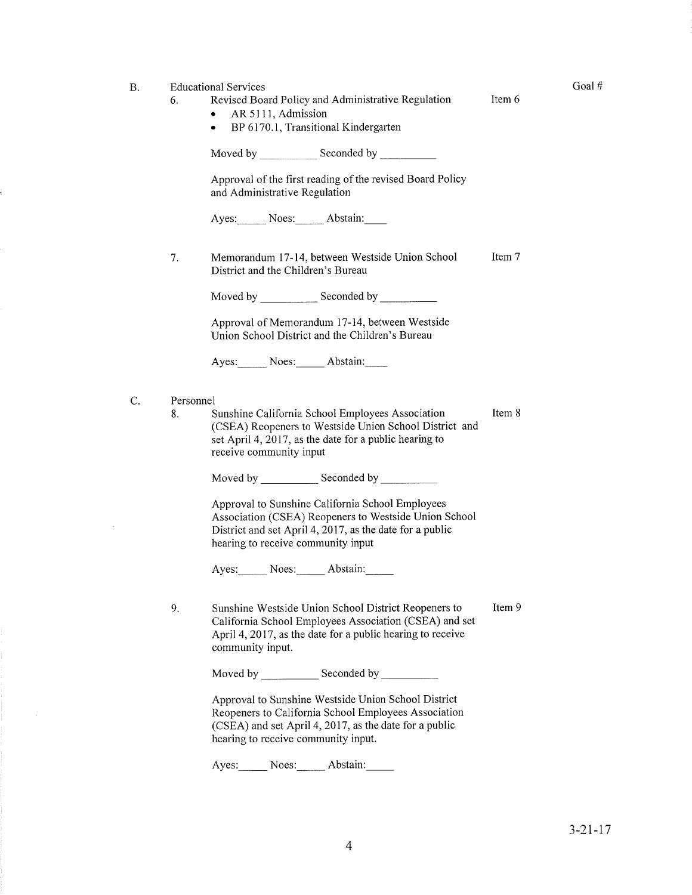# B. Educational Services

- 6. Revised Board Policy and Administrative Regulation Item 6
	- $\bullet$  AR 5111, Admission
	- BP 6170.1, Transitional Kindergarten

Moved by Seconded by

Approval of the first reading of the revised Board Policy and Administrative Regulation

Ayes: Noes: Abstain:

Memorandum 17-14, between Westside Union School District and the Children's Bureau Item 7 7

Moved by \_\_\_\_\_\_\_\_\_\_\_\_ Seconded by \_

Approval of Memorandum 17-14, between Westside Union School District and the Children's Bureau

Ayes: Noes: Abstain:

- Personnel C.
	- 8. Sunshine California School Employees Association (CSEA) Reopeners to Westside Union School District and set April 4, 2017, as the date for a public hearing to receive community input Item 8

Moved by Seconded by Seconded by Seconded by Seconded by Seconded by Seconded by Seconded by Seconded by Seconded by Seconded by Seconded by Seconded by Seconded by Seconded by Seconded by Seconded by Seconded by Seconded

Approval to Sunshine California School Employees Association (CSEA) Reopeners to Westside Union School District and set April 4, 2017, as the date for a public hearing to receive community input

Ayes: Noes: Abstain:

Item 9 9. Sunshine Westside Union School District Reopeners to California School Employees Association (CSEA) and set April 4, 2017, as the date for a public hearing to receive community input.

Moved by \_\_\_\_\_\_\_\_\_\_\_\_\_ Seconded by \_

Approval to Sunshine Westside Union School District Reopeners to California School Employees Association  $(CSEA)$  and set April 4, 2017, as the date for a public hearing to receive community input.

Ayes: Noes: Abstain:

Goal #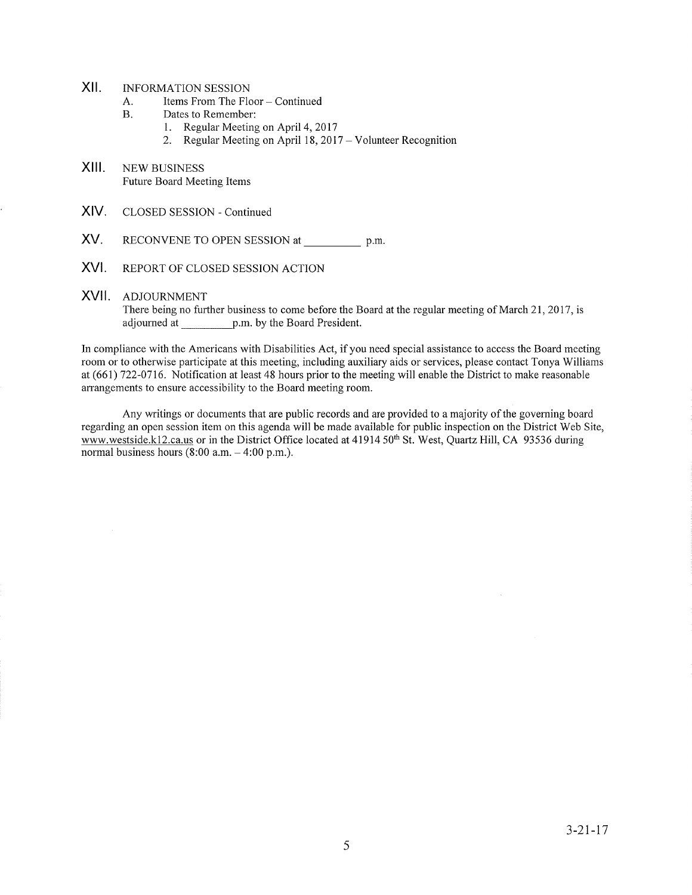# XII. INFORMATION SESSION

- A. Items From The Floor Continued<br>B. Dates to Remember:
- -
	- 1. Regular Meeting on April 4, 2017<br>2. Regular Meeting on April 18, 2017 Volunteer Recognition
- XIII. NEW BUSINESS Future Board Meeting Items
- XIV. CLOSED SESSION - Continued
- XV. RECONVENE TO OPEN SESSION at p.m.
- XVI. REPORT OF CLOSED SESSION ACTION
- XVII. ADJOURNMENT There being no further business to come before the Board at the regular meeting of March 21, 2017, is adjourned at p.m. by the Board President.

In compliance with the Americans with Disabilities Act, if you need special assistance to access the Board meeting room or to otherwise pafticipate at this meeting, including auxiliary aids or services, please contact Tonya Williams at (661) 722-0716. Notification at least 48 hours prior to the meeting will enable the District to make reasonable arrangements to ensure accessibility to the Board meeting room.

Any writings or documents that are public records and are provided to a majority of the goveming board regarding an open session item on this agenda will be made available for public inspection on the District Web Site, www.westside.kl2.ca.us or in the District Office located at 41914 50<sup>th</sup> St. West, Quartz Hill, CA 93536 during normal business hours  $(8:00 a.m. - 4:00 p.m.).$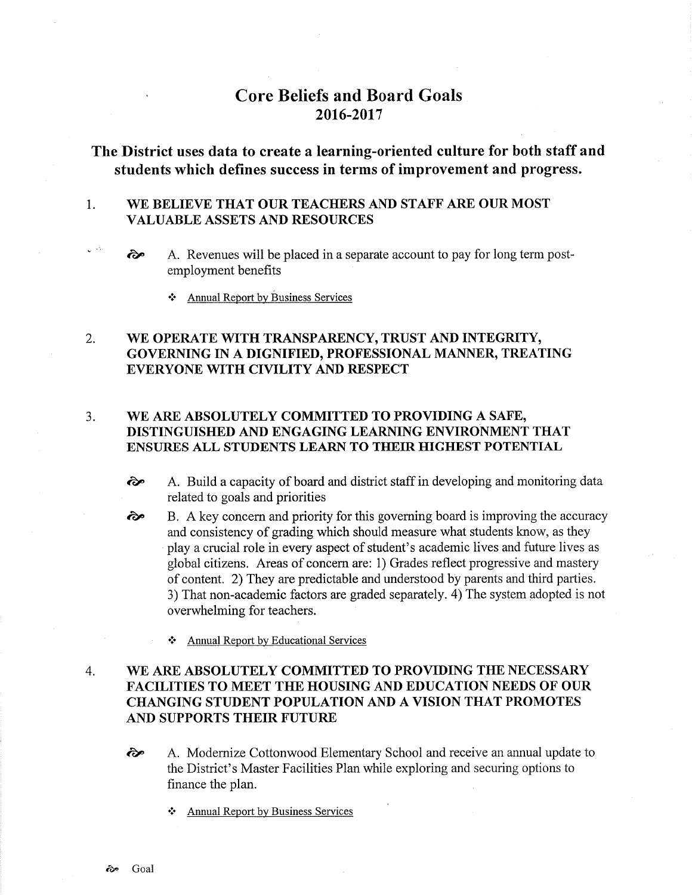# Core Beliefs and Board Goals 2016-2017

# The District uses data to create a learning-oriented culture for both staff and students which defines success in terms of improvement and progress.

### 1 WE BELIEVE THAT OUR TEACHERS AND STAFF ARE OUR MOST VALUABLE ASSETS AND RESOURCES

- $\hat{\bullet}$  A. Revenues will be placed in a separate account to pay for long term postemployment benefits
	- Annual Report by Business Services

## WE OPERATE WITH TRANSPARENCY, TRUST AND INTEGRITY, GOVERNING IN A DIGNIFIED, PROFESSIONAL MANNER, TREATING EVERYONE WITH CIVILITY AND RESPECT 2.

## $3.$ WE ARE ABSOLUTELY COMMITTED TO PROVIDING A SAFE, DISTINGUISHED AND ENGAGING LEARNING ENVIRONMENT THAT ENSURES ALL STUDENTS LEARN TO THEIR HIGHEST POTENTIAL

- ôp A. Build a capacity of board and district staff in developing and monitoring data related to goals and priorities
- B. A key concern and priority for this goveming board is improving the accuracy and consistency of grading which should measure what students know, as they play a crucial role in every aspect of student's academic lives and future lives as global citizens. Areas of concern are: 1) Grades reflect progressive and mastery of content. 2) They are predictable and understood by parents and third parties. 3) That non-academic factors are graded separately. 4) The system adopted is not overwhelming for teachers. ôe
	- \* Annual Report by Educational Services

## 4. WE ARE ABSOLUTELY COMMITTED TO PROVIDING THE NECESSARY FACILITIES TO MEET THE HOUSING AND EDUCATION NEEDS OF OUR CHANGING STUDENT POPULATION AND A VISION THAT PROMOTES AND SUPPORTS THEIR FUTURE

- <sup>2</sup><sup>2</sup> A. Modernize Cottonwood Elementary School and receive an annual update to the District's Master Facilities Plan while exploring and securing options to finance the plan.
	- Annual Report by Business Services